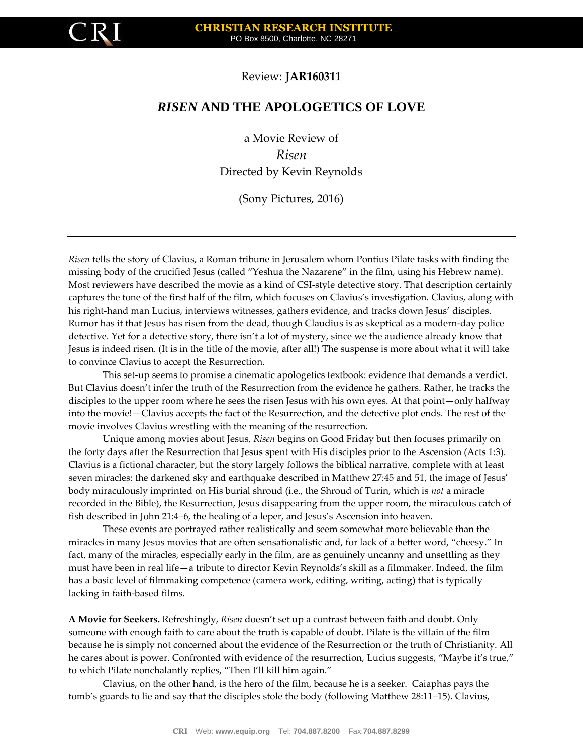

## Review: **JAR160311**

## *RISEN* **AND THE APOLOGETICS OF LOVE**

a Movie Review of *Risen* Directed by Kevin Reynolds

(Sony Pictures, 2016)

*Risen* tells the story of Clavius, a Roman tribune in Jerusalem whom Pontius Pilate tasks with finding the missing body of the crucified Jesus (called "Yeshua the Nazarene" in the film, using his Hebrew name). Most reviewers have described the movie as a kind of CSI-style detective story. That description certainly captures the tone of the first half of the film, which focuses on Clavius's investigation. Clavius, along with his right-hand man Lucius, interviews witnesses, gathers evidence, and tracks down Jesus' disciples. Rumor has it that Jesus has risen from the dead, though Claudius is as skeptical as a modern-day police detective. Yet for a detective story, there isn't a lot of mystery, since we the audience already know that Jesus is indeed risen. (It is in the title of the movie, after all!) The suspense is more about what it will take to convince Clavius to accept the Resurrection.

This set-up seems to promise a cinematic apologetics textbook: evidence that demands a verdict. But Clavius doesn't infer the truth of the Resurrection from the evidence he gathers. Rather, he tracks the disciples to the upper room where he sees the risen Jesus with his own eyes. At that point—only halfway into the movie!—Clavius accepts the fact of the Resurrection, and the detective plot ends. The rest of the movie involves Clavius wrestling with the meaning of the resurrection.

Unique among movies about Jesus, *Risen* begins on Good Friday but then focuses primarily on the forty days after the Resurrection that Jesus spent with His disciples prior to the Ascension (Acts 1:3). Clavius is a fictional character, but the story largely follows the biblical narrative, complete with at least seven miracles: the darkened sky and earthquake described in Matthew 27:45 and 51, the image of Jesus' body miraculously imprinted on His burial shroud (i.e., the Shroud of Turin, which is *not* a miracle recorded in the Bible), the Resurrection, Jesus disappearing from the upper room, the miraculous catch of fish described in John 21:4–6, the healing of a leper, and Jesus's Ascension into heaven.

These events are portrayed rather realistically and seem somewhat more believable than the miracles in many Jesus movies that are often sensationalistic and, for lack of a better word, "cheesy." In fact, many of the miracles, especially early in the film, are as genuinely uncanny and unsettling as they must have been in real life—a tribute to director Kevin Reynolds's skill as a filmmaker. Indeed, the film has a basic level of filmmaking competence (camera work, editing, writing, acting) that is typically lacking in faith-based films.

**A Movie for Seekers.** Refreshingly, *Risen* doesn't set up a contrast between faith and doubt. Only someone with enough faith to care about the truth is capable of doubt. Pilate is the villain of the film because he is simply not concerned about the evidence of the Resurrection or the truth of Christianity. All he cares about is power. Confronted with evidence of the resurrection, Lucius suggests, "Maybe it's true," to which Pilate nonchalantly replies, "Then I'll kill him again."

Clavius, on the other hand, is the hero of the film, because he is a seeker. Caiaphas pays the tomb's guards to lie and say that the disciples stole the body (following Matthew 28:11–15). Clavius,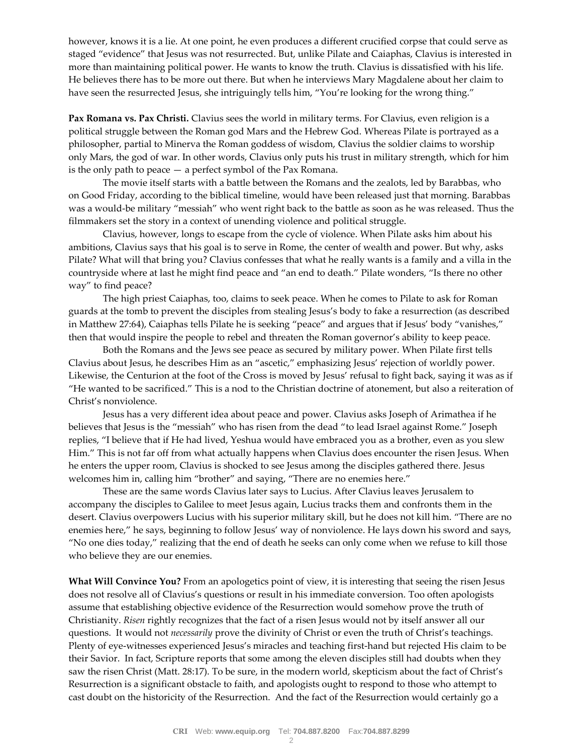however, knows it is a lie. At one point, he even produces a different crucified corpse that could serve as staged "evidence" that Jesus was not resurrected. But, unlike Pilate and Caiaphas, Clavius is interested in more than maintaining political power. He wants to know the truth. Clavius is dissatisfied with his life. He believes there has to be more out there. But when he interviews Mary Magdalene about her claim to have seen the resurrected Jesus, she intriguingly tells him, "You're looking for the wrong thing."

**Pax Romana vs. Pax Christi.** Clavius sees the world in military terms. For Clavius, even religion is a political struggle between the Roman god Mars and the Hebrew God. Whereas Pilate is portrayed as a philosopher, partial to Minerva the Roman goddess of wisdom, Clavius the soldier claims to worship only Mars, the god of war. In other words, Clavius only puts his trust in military strength, which for him is the only path to peace — a perfect symbol of the Pax Romana.

The movie itself starts with a battle between the Romans and the zealots, led by Barabbas, who on Good Friday, according to the biblical timeline, would have been released just that morning. Barabbas was a would-be military "messiah" who went right back to the battle as soon as he was released. Thus the filmmakers set the story in a context of unending violence and political struggle.

Clavius, however, longs to escape from the cycle of violence. When Pilate asks him about his ambitions, Clavius says that his goal is to serve in Rome, the center of wealth and power. But why, asks Pilate? What will that bring you? Clavius confesses that what he really wants is a family and a villa in the countryside where at last he might find peace and "an end to death." Pilate wonders, "Is there no other way" to find peace?

The high priest Caiaphas, too, claims to seek peace. When he comes to Pilate to ask for Roman guards at the tomb to prevent the disciples from stealing Jesus's body to fake a resurrection (as described in Matthew 27:64), Caiaphas tells Pilate he is seeking "peace" and argues that if Jesus' body "vanishes," then that would inspire the people to rebel and threaten the Roman governor's ability to keep peace.

Both the Romans and the Jews see peace as secured by military power. When Pilate first tells Clavius about Jesus, he describes Him as an "ascetic," emphasizing Jesus' rejection of worldly power. Likewise, the Centurion at the foot of the Cross is moved by Jesus' refusal to fight back, saying it was as if "He wanted to be sacrificed." This is a nod to the Christian doctrine of atonement, but also a reiteration of Christ's nonviolence.

Jesus has a very different idea about peace and power. Clavius asks Joseph of Arimathea if he believes that Jesus is the "messiah" who has risen from the dead "to lead Israel against Rome." Joseph replies, "I believe that if He had lived, Yeshua would have embraced you as a brother, even as you slew Him." This is not far off from what actually happens when Clavius does encounter the risen Jesus. When he enters the upper room, Clavius is shocked to see Jesus among the disciples gathered there. Jesus welcomes him in, calling him "brother" and saying, "There are no enemies here."

These are the same words Clavius later says to Lucius. After Clavius leaves Jerusalem to accompany the disciples to Galilee to meet Jesus again, Lucius tracks them and confronts them in the desert. Clavius overpowers Lucius with his superior military skill, but he does not kill him. "There are no enemies here," he says, beginning to follow Jesus' way of nonviolence. He lays down his sword and says, "No one dies today," realizing that the end of death he seeks can only come when we refuse to kill those who believe they are our enemies.

**What Will Convince You?** From an apologetics point of view, it is interesting that seeing the risen Jesus does not resolve all of Clavius's questions or result in his immediate conversion. Too often apologists assume that establishing objective evidence of the Resurrection would somehow prove the truth of Christianity. *Risen* rightly recognizes that the fact of a risen Jesus would not by itself answer all our questions. It would not *necessarily* prove the divinity of Christ or even the truth of Christ's teachings. Plenty of eye-witnesses experienced Jesus's miracles and teaching first-hand but rejected His claim to be their Savior. In fact, Scripture reports that some among the eleven disciples still had doubts when they saw the risen Christ (Matt. 28:17). To be sure, in the modern world, skepticism about the fact of Christ's Resurrection is a significant obstacle to faith, and apologists ought to respond to those who attempt to cast doubt on the historicity of the Resurrection. And the fact of the Resurrection would certainly go a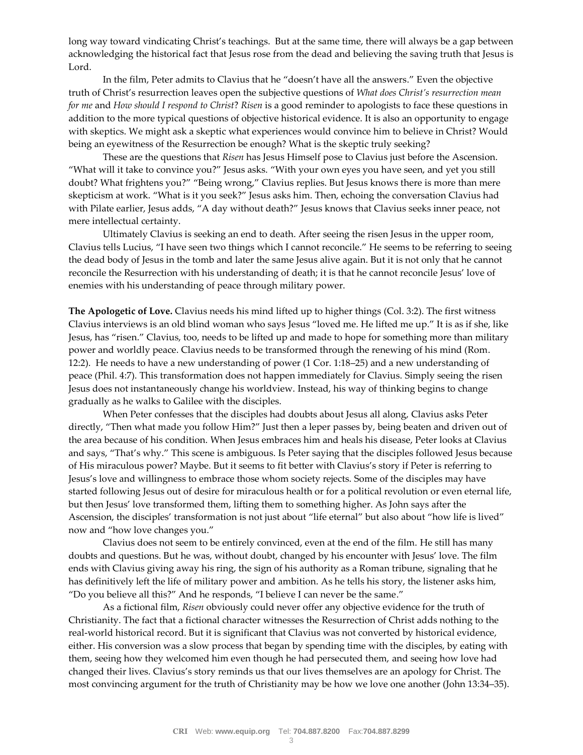long way toward vindicating Christ's teachings. But at the same time, there will always be a gap between acknowledging the historical fact that Jesus rose from the dead and believing the saving truth that Jesus is Lord.

In the film, Peter admits to Clavius that he "doesn't have all the answers." Even the objective truth of Christ's resurrection leaves open the subjective questions of *What does Christ's resurrection mean for me* and *How should I respond to Christ*? *Risen* is a good reminder to apologists to face these questions in addition to the more typical questions of objective historical evidence. It is also an opportunity to engage with skeptics. We might ask a skeptic what experiences would convince him to believe in Christ? Would being an eyewitness of the Resurrection be enough? What is the skeptic truly seeking?

These are the questions that *Risen* has Jesus Himself pose to Clavius just before the Ascension. "What will it take to convince you?" Jesus asks. "With your own eyes you have seen, and yet you still doubt? What frightens you?" "Being wrong," Clavius replies. But Jesus knows there is more than mere skepticism at work. "What is it you seek?" Jesus asks him. Then, echoing the conversation Clavius had with Pilate earlier, Jesus adds, "A day without death?" Jesus knows that Clavius seeks inner peace, not mere intellectual certainty.

Ultimately Clavius is seeking an end to death. After seeing the risen Jesus in the upper room, Clavius tells Lucius, "I have seen two things which I cannot reconcile." He seems to be referring to seeing the dead body of Jesus in the tomb and later the same Jesus alive again. But it is not only that he cannot reconcile the Resurrection with his understanding of death; it is that he cannot reconcile Jesus' love of enemies with his understanding of peace through military power.

**The Apologetic of Love.** Clavius needs his mind lifted up to higher things (Col. 3:2). The first witness Clavius interviews is an old blind woman who says Jesus "loved me. He lifted me up." It is as if she, like Jesus, has "risen." Clavius, too, needs to be lifted up and made to hope for something more than military power and worldly peace. Clavius needs to be transformed through the renewing of his mind (Rom. 12:2). He needs to have a new understanding of power (1 Cor. 1:18–25) and a new understanding of peace (Phil. 4:7). This transformation does not happen immediately for Clavius. Simply seeing the risen Jesus does not instantaneously change his worldview. Instead, his way of thinking begins to change gradually as he walks to Galilee with the disciples.

When Peter confesses that the disciples had doubts about Jesus all along, Clavius asks Peter directly, "Then what made you follow Him?" Just then a leper passes by, being beaten and driven out of the area because of his condition. When Jesus embraces him and heals his disease, Peter looks at Clavius and says, "That's why." This scene is ambiguous. Is Peter saying that the disciples followed Jesus because of His miraculous power? Maybe. But it seems to fit better with Clavius's story if Peter is referring to Jesus's love and willingness to embrace those whom society rejects. Some of the disciples may have started following Jesus out of desire for miraculous health or for a political revolution or even eternal life, but then Jesus' love transformed them, lifting them to something higher. As John says after the Ascension, the disciples' transformation is not just about "life eternal" but also about "how life is lived" now and "how love changes you."

Clavius does not seem to be entirely convinced, even at the end of the film. He still has many doubts and questions. But he was, without doubt, changed by his encounter with Jesus' love. The film ends with Clavius giving away his ring, the sign of his authority as a Roman tribune, signaling that he has definitively left the life of military power and ambition. As he tells his story, the listener asks him, "Do you believe all this?" And he responds, "I believe I can never be the same."

As a fictional film, *Risen* obviously could never offer any objective evidence for the truth of Christianity. The fact that a fictional character witnesses the Resurrection of Christ adds nothing to the real-world historical record. But it is significant that Clavius was not converted by historical evidence, either. His conversion was a slow process that began by spending time with the disciples, by eating with them, seeing how they welcomed him even though he had persecuted them, and seeing how love had changed their lives. Clavius's story reminds us that our lives themselves are an apology for Christ. The most convincing argument for the truth of Christianity may be how we love one another (John 13:34–35).